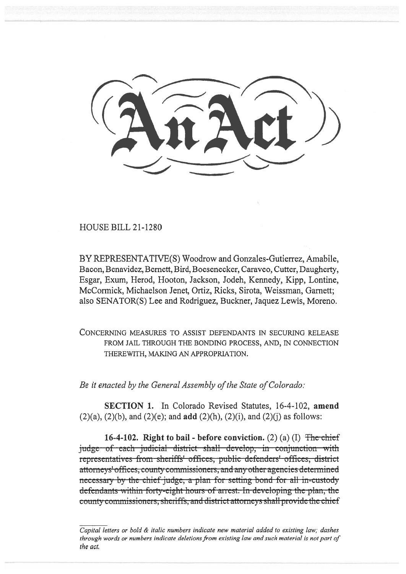HOUSE BILL 21-1280

BY REPRESENTATIVE(S) Woodrow and Gonzales-Gutierrez, Amabile, Bacon, Benavidez, Bernett, Bird, Boesenecker, Caraveo, Cutter, Daugherty, Esgar, Exum, Herod, Hooton, Jackson, Jodeh, Kennedy, Kipp, Lontine, McCormick, Michaelson Jenet, Ortiz, Ricks, Sirota, Weissman, Garnett; also SENATOR(S) Lee and Rodriguez, Buckner, Jaquez Lewis, Moreno.

CONCERNING MEASURES TO ASSIST DEFENDANTS IN SECURING RELEASE FROM JAIL THROUGH THE BONDING PROCESS, AND, IN CONNECTION THEREWITH, MAKING AN APPROPRIATION.

Be it enacted by the General Assembly of the State of Colorado:

SECTION 1. In Colorado Revised Statutes, 16-4-102, amend  $(2)(a)$ ,  $(2)(b)$ , and  $(2)(e)$ ; and **add**  $(2)(h)$ ,  $(2)(i)$ , and  $(2)(j)$  as follows:

16-4-102. Right to bail - before conviction. (2) (a) (I)  $\overline{\text{The chief}}$ judge of each judicial district shall develop, in conjunction with representatives from sheriffs' offices, public defenders' offices, district attorneys' offices, county commissioners, and any other agencies determine necessary by the chief judge, a plan for setting bond for all in-custody defendants within forty-eight hours of arrest. In developing the plan, the county commissioners, sheriffs, and district attorneys shall provide the chief

Capital letters or bold  $\&$  italic numbers indicate new material added to existing law; dashes through words or numbers indicate deletions from existing law and such material is not part of the act.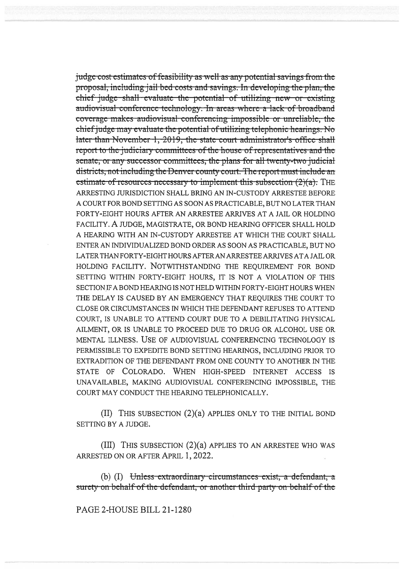judge cost estimates of feasibility as well as any potential savings from the proposal, including jail bed costs and savings. In developing the plan, the chief judge shall evaluate the potential of utilizing new or existing audiovisual conference technology. In areas where a lack of broadband coverage makes audiovisual conferencing impossible or unreliable, the chief judge may evaluate the potential of utilizing telephonic hearings. No later than November 1, 2019, the state court administrator's office shall report to the judiciary committees of the house of representatives and the senate, or any successor committees, the plans for all twenty-two judicial districts, not including the Denver county court. The report must include an estimate of resources necessary to implement this subsection  $(2)(a)$ . The ARRESTING JURISDICTION SHALL BRING AN IN-CUSTODY ARRESTEE BEFORE A COURT FOR BOND SETTING AS SOON AS PRACTICABLE, BUT NO LATER THAN FORTY-EIGHT HOURS AFTER AN ARRESTEE ARRIVES AT A JAIL OR HOLDING FACILITY. A JUDGE, MAGISTRATE, OR BOND HEARING OFFICER SHALL HOLD A HEARING WITH AN IN-CUSTODY ARRESTEE AT WHICH THE COURT SHALL ENTER AN INDIVIDUALIZED BOND ORDER AS SOON AS PRACTICABLE, BUT NO LATER THAN FORTY-EIGHT HOURS AFTER AN ARRESTEE ARRIVES AT A JAIL OR HOLDING FACILITY. NOTWITHSTANDING THE REOUIREMENT FOR BOND SETTING WITHIN FORTY-EIGHT HOURS, IT IS NOT A VIOLATION OF THIS SECTION IF A BOND HEARING IS NOT HELD WITHIN FORTY-EIGHT HOURS WHEN THE DELAY IS CAUSED BY AN EMERGENCY THAT REQUIRES THE COURT TO CLOSE OR CIRCUMSTANCES IN WHICH THE DEFENDANT REFUSES TO ATTEND COURT, IS UNABLE TO ATTEND COURT DUE TO A DEBILITATING PHYSICAL AILMENT, OR IS UNABLE TO PROCEED DUE TO DRUG OR ALCOHOL USE OR MENTAL ILLNESS. USE OF AUDIOVISUAL CONFERENCING TECHNOLOGY IS PERMISSIBLE TO EXPEDITE BOND SETTING HEARINGS, INCLUDING PRIOR TO EXTRADITION OF THE DEFENDANT FROM ONE COUNTY TO ANOTHER IN THE STATE OF COLORADO. WHEN HIGH-SPEED INTERNET ACCESS IS UNAVAILABLE, MAKING AUDIOVISUAL CONFERENCING IMPOSSIBLE, THE COURT MAY CONDUCT THE HEARING TELEPHONICALLY.

(II) THIS SUBSECTION (2)(a) APPLIES ONLY TO THE INITIAL BOND SETTING BY A JUDGE.

(III) THIS SUBSECTION (2)(a) APPLIES TO AN ARRESTEE WHO WAS ARRESTED ON OR AFTER APRIL 1, 2022.

(b) (I) Unless extraordinary circumstances exist, a defendant, a surety on behalf of the defendant, or another third party on behalf of the

PAGE 2-HOUSE BILL 21-1280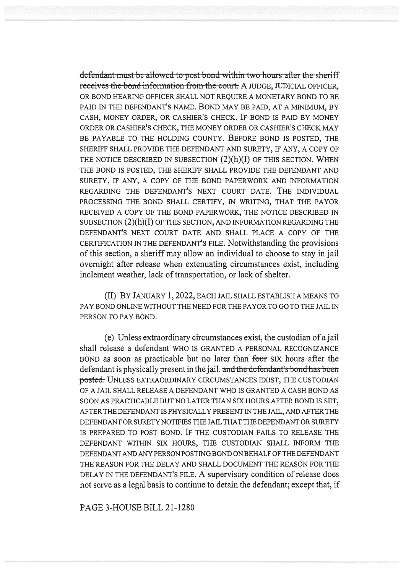defendant must be allowed to post bond within two hours after the sheriff receives the bond information from the court. A JUDGE, JUDICIAL OFFICER, OR BOND HEARING OFFICER SHALL NOT REQUIRE A MONETARY BOND TO BE PAID IN THE DEFENDANT'S NAME. BOND MAY BE PAID, AT A MINIMUM, BY CASH, MONEY ORDER, OR CASHIER'S CHECK. IF BOND IS PAID BY MONEY ORDER OR CASHIER'S CHECK, THE MONEY ORDER OR CASHIER'S CHECK MAY BE PAYABLE TO THE HOLDING COUNTY. BEFORE BOND IS POSTED, THE SHERIFF SHALL PROVIDE THE DEFENDANT AND SURETY, IF ANY, A COPY OF THE NOTICE DESCRIBED IN SUBSECTION  $(2)(h)(I)$  OF THIS SECTION. WHEN THE BOND IS POSTED, THE SHERIFF SHALL PROVIDE THE DEFENDANT AND SURETY, IF ANY, A COPY OF THE BOND PAPERWORK AND INFORMATION REGARDING THE DEFENDANT'S NEXT COURT DATE. THE INDIVIDUAL PROCESSING THE BOND SHALL CERTIFY, IN WRITING, THAT THE PAYOR RECEIVED A COPY OF THE BOND PAPERWORK, THE NOTICE DESCRIBED IN SUBSECTION (2)(h)(I) OF THIS SECTION, AND INFORMATION REGARDING THE DEFENDANT'S NEXT COURT DATE AND SHALL PLACE A COPY OF THE CERTIFICATION IN THE DEFENDANT'S FILE. Notwithstanding the provisions of this section, a sheriff may allow an individual to choose to stay in jail overnight after release when extenuating circumstances exist, including inclement weather, lack of transportation, or lack of shelter.

(II) BY JANUARY 1, 2022, EACH JAIL SHALL ESTABLISH A MEANS TO PAY BOND ONLINE WITHOUT THE NEED FOR THE PAYOR TO GO TO THE JAIL IN PERSON TO PAY BOND.

(e) Unless extraordinary circumstances exist, the custodian of a jail shall release a defendant WHO IS GRANTED A PERSONAL RECOGNIZANCE BOND as soon as practicable but no later than four SIX hours after the defendant is physically present in the jail. and the defendant's bond has been posted. UNLESS EXTRAORDINARY CIRCUMSTANCES EXIST, THE CUSTODIAN OF A JAIL SHALL RELEASE A DEFENDANT WHO IS GRANTED A CASH BOND AS SOON AS PRACTICABLE BUT NO LATER THAN SIX HOURS AFTER BOND IS SET, AFTER THE DEFENDANT IS PHYSICALLY PRESENT IN THE JAIL, AND AFTER THE DEFENDANT OR SURETY NOTIFIES THE JAIL THAT THE DEFENDANT OR SURETY IS PREPARED TO POST BOND. IF THE CUSTODIAN FAILS TO RELEASE THE DEFENDANT WITHIN SIX HOURS, THE CUSTODIAN SHALL INFORM THE DEFENDANT AND ANY PERSON POSTING BOND ON BEHALF OF THE DEFENDANT THE REASON FOR THE DELAY AND SHALL DOCUMENT THE REASON FOR THE DELAY IN THE DEFENDANT'S FILE. A supervisory condition of release does not serve as a legal basis to continue to detain the defendant; except that, if

PAGE 3-HOUSE BILL 21-1280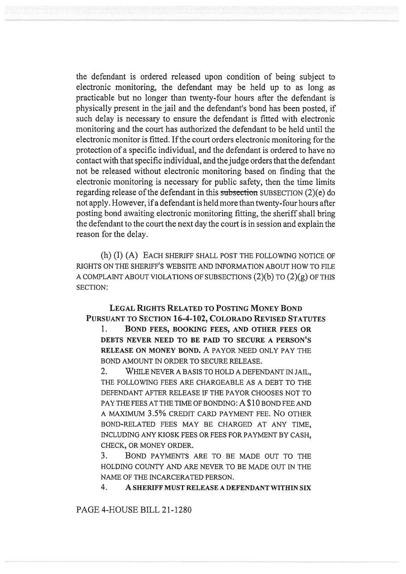the defendant is ordered released upon condition of being subject to electronic monitoring, the defendant may be held up to as long as practicable but no longer than twenty-four hours after the defendant is physically present in the jail and the defendant's bond has been posted, if such delay is necessary to ensure the defendant is fitted with electronic monitoring and the court has authorized the defendant to be held until the electronic monitor is fitted. If the court orders electronic monitoring for the protection of a specific individual, and the defendant is ordered to have no contact with that specific individual, and the judge orders that the defendant not be released without electronic monitoring based on finding that the electronic monitoring is necessary for public safety, then the time limits regarding release of the defendant in this subsection SUBSECTION (2)(e) do not apply. However, if a defendant is held more than twenty-four hours after posting bond awaiting electronic monitoring fitting, the sheriff shall bring the defendant to the court the next day the court is in session and explain the reason for the delay.

(h) (I) (A) EACH SHERIFF SHALL POST THE FOLLOWING NOTICE OF RIGHTS ON THE SHERIFF'S WEBSITE AND INFORMATION ABOUT HOW TO FILE A COMPLAINT ABOUT VIOLATIONS OF SUBSECTIONS  $(2)(b)$  TO  $(2)(g)$  OF THIS SECTION:

## LEGAL RIGHTS RELATED TO POSTING MONEY BOND PURSUANT TO SECTION 16-4-102, COLORADO REVISED STATUTES

1. BOND FEES, BOOKING FEES, AND OTHER FEES OR DEBTS NEVER NEED TO BE PAID TO SECURE A PERSON'S RELEASE ON MONEY BOND. A PAYOR NEED ONLY PAY THE BOND AMOUNT IN ORDER TO SECURE RELEASE.

2. WHILE NEVER A BASIS TO HOLD A DEFENDANT IN JAIL, THE FOLLOWING FEES ARE CHARGEABLE AS A DEBT TO THE DEFENDANT AFTER RELEASE IF THE PAYOR CHOOSES NOT TO PAY THE FEES AT THE TIME OF BONDING: A \$10 BOND FEE AND A MAXIMUM 3.5% CREDIT CARD PAYMENT FEE. No OTHER BOND-RELATED FEES MAY BE CHARGED AT ANY TIME, INCLUDING ANY KIOSK FEES OR FEES FOR PAYMENT BY CASH, CHECK, OR MONEY ORDER.

3. BOND PAYMENTS ARE TO BE MADE OUT TO THE HOLDING COUNTY AND ARE NEVER TO BE MADE OUT IN THE NAME OF THE INCARCERATED PERSON.

4. A SHERIFF MUST RELEASE A DEFENDANT WITHIN SIX

PAGE 4-HOUSE BILL 21-1280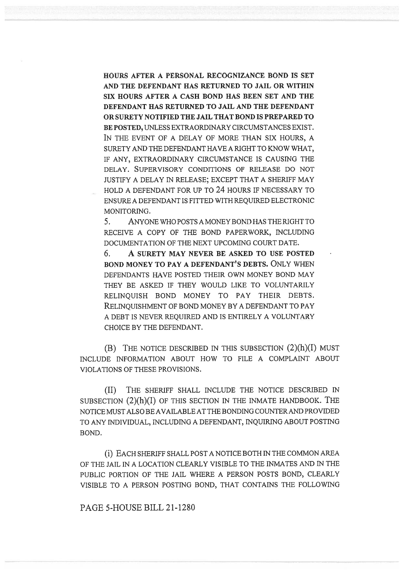HOURS AFTER A PERSONAL RECOGNIZANCE BOND IS SET AND THE DEFENDANT HAS RETURNED TO JAIL OR WITHIN SIX HOURS AFTER A CASH BOND HAS BEEN SET AND THE DEFENDANT HAS RETURNED TO JAIL AND THE DEFENDANT OR SURETY NOTIFIED THE JAIL THAT BOND IS PREPARED TO BE POSTED, UNLESS EXTRAORDINARY CIRCUMSTANCES EXIST. IN THE EVENT OF A DELAY OF MORE THAN SIX HOURS, A SURETY AND THE DEFENDANT HAVE A RIGHT TO KNOW WHAT, IF ANY, EXTRAORDINARY CIRCUMSTANCE IS CAUSING THE DELAY. SUPERVISORY CONDITIONS OF RELEASE DO NOT JUSTIFY A DELAY IN RELEASE; EXCEPT THAT A SHERIFF MAY HOLD A DEFENDANT FOR UP TO 24 HOURS IF NECESSARY TO ENSURE A DEFENDANT IS FITTED WITH REQUIRED ELECTRONIC MONITORING.

5. ANYONE WHO POSTS A MONEY BOND HAS THE RIGHT TO RECEIVE A COPY OF THE BOND PAPERWORK, INCLUDING DOCUMENTATION OF THE NEXT UPCOMING COURT DATE.

6. A SURETY MAY NEVER BE ASKED TO USE POSTED BOND MONEY TO PAY A DEFENDANT'S DEBTS. ONLY WHEN DEFENDANTS HAVE POSTED THEIR OWN MONEY BOND MAY THEY BE ASKED IF THEY WOULD LIKE TO VOLUNTARILY RELINQUISH BOND MONEY TO PAY THEIR DEBTS. RELINQUISHMENT OF BOND MONEY BY A DEFENDANT TO PAY A DEBT IS NEVER REQUIRED AND IS ENTIRELY A VOLUNTARY CHOICE BY THE DEFENDANT.

(B) THE NOTICE DESCRIBED IN THIS SUBSECTION  $(2)(h)(I)$  MUST INCLUDE INFORMATION ABOUT HOW TO FILE A COMPLAINT ABOUT VIOLATIONS OF THESE PROVISIONS.

(II) THE SHERIFF SHALL INCLUDE THE NOTICE DESCRIBED IN SUBSECTION (2)(h)(I) OF THIS SECTION IN THE INMATE HANDBOOK. THE NOTICE MUST ALSO BE AVAILABLE AT THE BONDING COUNTER AND PROVIDED TO ANY INDIVIDUAL, INCLUDING A DEFENDANT, INQUIRING ABOUT POSTING BOND.

(1) EACH SHERIFF SHALL POST A NOTICE BOTH IN THE COMMON AREA OF THE JAIL IN A LOCATION CLEARLY VISIBLE TO THE INMATES AND IN THE PUBLIC PORTION OF THE JAIL WHERE A PERSON POSTS BOND, CLEARLY VISIBLE TO A PERSON POSTING BOND, THAT CONTAINS THE FOLLOWING

PAGE 5-HOUSE BILL 21-1280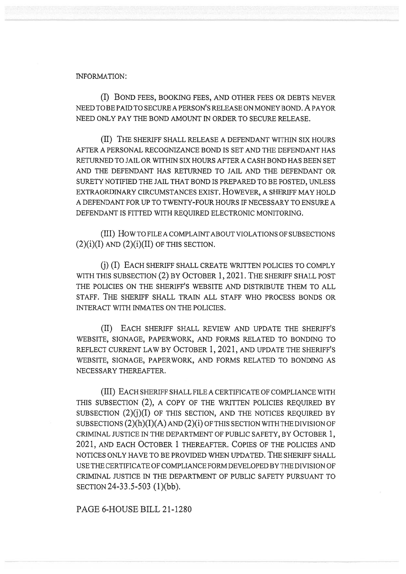## INFORMATION:

(I) BOND FEES, BOOKING FEES, AND OTHER FEES OR DEBTS NEVER NEED TO BE PAID TO SECURE A PERSON'S RELEASE ON MONEY BOND. A PAYOR NEED ONLY PAY THE BOND AMOUNT IN ORDER TO SECURE RELEASE.

(II) THE SHERIFF SHALL RELEASE A DEFENDANT WITHIN SIX HOURS AFTER A PERSONAL RECOGNIZANCE BOND IS SET AND THE DEFENDANT HAS RETURNED TO JAIL OR WITHIN SIX HOURS AFTER A CASH BOND HAS BEEN SET AND THE DEFENDANT HAS RETURNED TO JAIL AND THE DEFENDANT OR SURETY NOTIFIED THE JAIL THAT BOND IS PREPARED TO BE POSTED, UNLESS EXTRAORDINARY CIRCUMSTANCES EXIST. HOWEVER, A SHERIFF MAY HOLD A DEFENDANT FOR UP TO TWENTY-FOUR HOURS IF NECESSARY TO ENSURE A DEFENDANT IS FITTED WITH REQUIRED ELECTRONIC MONITORING.

(III) How TO FILE A COMPLAINT ABOUT VIOLATIONS OF SUBSECTIONS  $(2)(i)(I)$  AND  $(2)(i)(II)$  OF THIS SECTION.

(i) (I) EACH SHERIFF SHALL CREATE WRITTEN POLICIES TO COMPLY WITH THIS SUBSECTION (2) BY OCTOBER 1, 2021. THE SHERIFF SHALL POST THE POLICIES ON THE SHERIFF'S WEBSITE AND DISTRIBUTE THEM TO ALL STAFF. THE SHERIFF SHALL TRAIN ALL STAFF WHO PROCESS BONDS OR INTERACT WITH INMATES ON THE POLICIES.

(II) EACH SHERIFF SHALL REVIEW AND UPDATE THE SHERIFF'S WEBSITE, SIGNAGE, PAPERWORK, AND FORMS RELATED TO BONDING TO REFLECT CURRENT LAW BY OCTOBER 1, 2021, AND UPDATE THE SHERIFF'S WEBSITE, SIGNAGE, PAPERWORK, AND FORMS RELATED TO BONDING AS NECESSARY THEREAFTER.

(III) EACH SHERIFF SHALL FILE A CERTIFICATE OF COMPLIANCE WITH THIS SUBSECTION (2), A COPY OF THE WRITTEN POLICIES REQUIRED BY SUBSECTION  $(2)(j)(I)$  OF THIS SECTION, AND THE NOTICES REQUIRED BY SUBSECTIONS  $(2)(h)(I)(A)$  AND  $(2)(i)$  OF THIS SECTION WITH THE DIVISION OF CRIMINAL JUSTICE IN THE DEPARTMENT OF PUBLIC SAFETY, BY OCTOBER 1, 2021, AND EACH OCTOBER 1 THEREAFTER. COPIES OF THE POLICIES AND NOTICES ONLY HAVE TO BE PROVIDED WHEN UPDATED. THE SHERIFF SHALL USE THE CERTIFICATE OF COMPLIANCE FORM DEVELOPED BY THE DIVISION OF CRIMINAL JUSTICE IN THE DEPARTMENT OF PUBLIC SAFETY PURSUANT TO SECTION 24-33.5-503 (1)(bb).

PAGE 6-HOUSE BILL 21-1280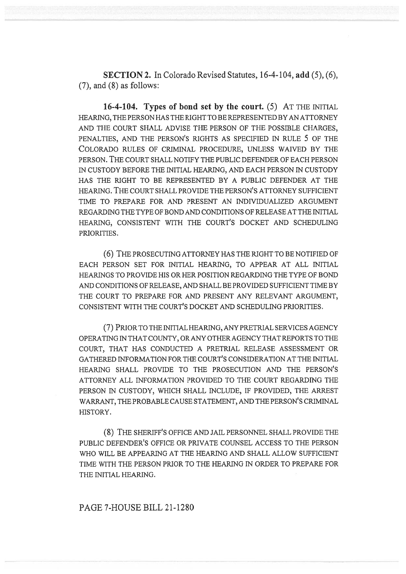SECTION 2. In Colorado Revised Statutes, 16-4-104, add (5), (6), (7), and (8) as follows:

16-4-104. Types of bond set by the court. (5) AT THE INITIAL HEARING, THE PERSON HAS THE RIGHT TO BE REPRESENTED BY AN ATTORNEY AND THE COURT SHALL ADVISE THE PERSON OF THE POSSIBLE CHARGES, PENALTIES, AND THE PERSON'S RIGHTS AS SPECIFIED IN RULE 5 OF THE COLORADO RULES OF CRIMINAL PROCEDURE, UNLESS WAIVED BY THE PERSON. THE COURT SHALL NOTIFY THE PUBLIC DEFENDER OF EACH PERSON IN CUSTODY BEFORE THE INITIAL HEARING, AND EACH PERSON IN CUSTODY HAS THE RIGHT TO BE REPRESENTED BY A PUBLIC DEFENDER AT THE HEARING. THE COURT SHALL PROVIDE THE PERSON'S ATTORNEY SUFFICIENT TIME TO PREPARE FOR AND PRESENT AN INDIVIDUALIZED ARGUMENT REGARDING THE TYPE OF BOND AND CONDITIONS OF RELEASE AT THE INITIAL HEARING, CONSISTENT WITH THE COURT'S DOCKET AND SCHEDULING PRIORITIES.

(6) THE PROSECUTING ATTORNEY HAS THE RIGHT TO BE NOTIFIED OF EACH PERSON SET FOR INITIAL HEARING, TO APPEAR AT ALL INITIAL HEARINGS TO PROVIDE HIS OR HER POSITION REGARDING THE TYPE OF BOND AND CONDITIONS OF RELEASE, AND SHALL BE PROVIDED SUFFICIENT TIME BY THE COURT TO PREPARE FOR AND PRESENT ANY RELEVANT ARGUMENT, CONSISTENT WITH THE COURT'S DOCKET AND SCHEDULING PRIORITIES.

(7) PRIOR TO THE INITIAL HEARING, ANY PRETRIAL SERVICES AGENCY OPERATING IN THAT COUNTY, OR ANY OTHER AGENCY THAT REPORTS TO THE COURT, THAT HAS CONDUCTED A PRETRIAL RELEASE ASSESSMENT OR GATHERED INFORMATION FOR THE COURT'S CONSIDERATION AT THE INITIAL HEARING SHALL PROVIDE TO THE PROSECUTION AND THE PERSON'S ATTORNEY ALL INFORMATION PROVIDED TO THE COURT REGARDING THE PERSON IN CUSTODY, WHICH SHALL INCLUDE, IF PROVIDED, THE ARREST WARRANT, THE PROBABLE CAUSE STATEMENT, AND THE PERSON'S CRIMINAL HISTORY.

(8) THE SHERIFF'S OFFICE AND JAIL PERSONNEL SHALL PROVIDE THE PUBLIC DEFENDER'S OFFICE OR PRIVATE COUNSEL ACCESS TO THE PERSON WHO WILL BE APPEARING AT THE HEARING AND SHALL ALLOW SUFFICIENT TIME WITH THE PERSON PRIOR TO THE HEARING IN ORDER TO PREPARE FOR THE INITIAL HEARING.

PAGE 7-HOUSE BILL 21-1280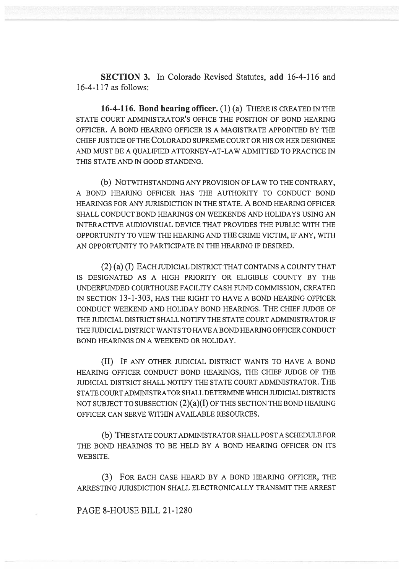SECTION 3. In Colorado Revised Statutes, add 16-4-116 and 16-4-117 as follows:

16-4-116. Bond hearing officer. (1) (a) THERE IS CREATED IN THE STATE COURT ADMINISTRATOR'S OFFICE THE POSITION OF BOND HEARING OFFICER. A BOND HEARING OFFICER IS A MAGISTRATE APPOINTED BY THE CHIEF JUSTICE OF THE COLORADO SUPREME COURT OR HIS OR HER DESIGNEE AND MUST BE A QUALIFIED ATTORNEY-AT-LAW ADMITTED TO PRACTICE IN THIS STATE AND IN GOOD STANDING.

(b) NOTWITHSTANDING ANY PROVISION OF LAW TO THE CONTRARY, A BOND HEARING OFFICER HAS THE AUTHORITY TO CONDUCT BOND HEARINGS FOR ANY JURISDICTION IN THE STATE. A BOND HEARING OFFICER SHALL CONDUCT BOND HEARINGS ON WEEKENDS AND HOLIDAYS USING AN INTERACTIVE AUDIOVISUAL DEVICE THAT PROVIDES THE PUBLIC WITH THE OPPORTUNITY TO VIEW THE HEARING AND THE CRIME VICTIM, IF ANY, WITH AN OPPORTUNITY TO PARTICIPATE IN THE HEARING IF DESIRED.

(2) (a) (I) EACH JUDICIAL DISTRICT THAT CONTAINS A COUNTY THAT IS DESIGNATED AS A HIGH PRIORITY OR ELIGIBLE COUNTY BY THE UNDERFUNDED COURTHOUSE FACILITY CASH FUND COMMISSION, CREATED IN SECTION 13-1-303, HAS THE RIGHT TO HAVE A BOND HEARING OFFICER CONDUCT WEEKEND AND HOLIDAY BOND HEARINGS. THE CHIEF JUDGE OF THE JUDICIAL DISTRICT SHALL NOTIFY THE STATE COURT ADMINISTRATOR IF THE JUDICIAL DISTRICT WANTS TO HAVE A BOND HEARING OFFICER CONDUCT BOND HEARINGS ON A WEEKEND OR HOLIDAY.

(II) IF ANY OTHER JUDICIAL DISTRICT WANTS TO HAVE A BOND HEARING OFFICER CONDUCT BOND HEARINGS, THE CHIEF JUDGE OF THE JUDICIAL DISTRICT SHALL NOTIFY THE STATE COURT ADMINISTRATOR. THE STATE COURT ADMINISTRATOR SHALL DETERMINE WHICH JUDICIAL DISTRICTS NOT SUBJECT TO SUBSECTION  $(2)(a)(I)$  OF THIS SECTION THE BOND HEARING OFFICER CAN SERVE WITHIN AVAILABLE RESOURCES.

(b) THE STATE COURT ADMINISTRATOR SHALL POST A SCHEDULE FOR THE BOND HEARINGS TO BE HELD BY A BOND HEARING OFFICER ON ITS WEBSITE.

(3) FOR EACH CASE HEARD BY A BOND HEARING OFFICER, THE ARRESTING JURISDICTION SHALL ELECTRONICALLY TRANSMIT THE ARREST

PAGE 8-HOUSE BILL 21-1280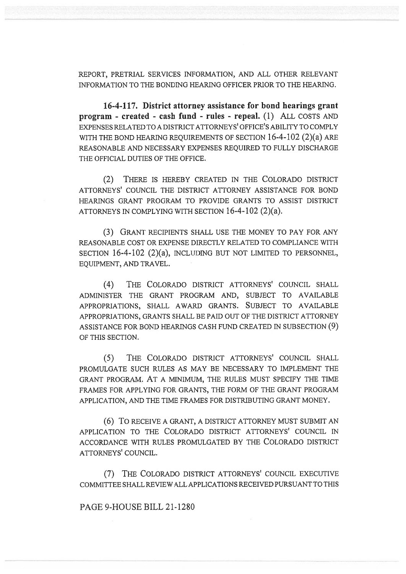REPORT, PRETRIAL SERVICES INFORMATION, AND ALL OTHER RELEVANT INFORMATION TO THE BONDING HEARING OFFICER PRIOR TO THE HEARING.

16-4-117. District attorney assistance for bond hearings grant program - created - cash fund - rules - repeal. (1) ALL COSTS AND EXPENSES RELATED TO A DISTRICT ATTORNEYS' OFFICE'S ABILITY TO COMPLY WITH THE BOND HEARING REQUIREMENTS OF SECTION 16-4-102 (2)(a) ARE REASONABLE AND NECESSARY EXPENSES REQUIRED TO FULLY DISCHARGE THE OFFICIAL DUTIES OF THE OFFICE.

(2) THERE IS HEREBY CREATED IN THE COLORADO DISTRICT ATTORNEYS' COUNCIL THE DISTRICT ATTORNEY ASSISTANCE FOR BOND HEARINGS GRANT PROGRAM TO PROVIDE GRANTS TO ASSIST DISTRICT ATTORNEYS IN COMPLYING WITH SECTION 16-4-102 (2)(a).

(3) GRANT RECIPIENTS SHALL USE THE MONEY TO PAY FOR ANY REASONABLE COST OR EXPENSE DIRECTLY RELATED TO COMPLIANCE WITH SECTION 16-4-102 (2)(a), INCLUDING BUT NOT LIMITED TO PERSONNEL, EQUIPMENT, AND TRAVEL.

(4) THE COLORADO DISTRICT ATTORNEYS' COUNCIL SHALL ADMINISTER THE GRANT PROGRAM AND, SUBJECT TO AVAILABLE APPROPRIATIONS, SHALL AWARD GRANTS. SUBJECT TO AVAILABLE APPROPRIATIONS, GRANTS SHALL BE PAID OUT OF THE DISTRICT ATTORNEY ASSISTANCE FOR BOND HEARINGS CASH FUND CREATED IN SUBSECTION (9) OF THIS SECTION.

(5) THE COLORADO DISTRICT ATTORNEYS' COUNCIL SHALL PROMULGATE SUCH RULES AS MAY BE NECESSARY TO IMPLEMENT THE GRANT PROGRAM. AT A MINIMUM, THE RULES MUST SPECIFY THE TIME FRAMES FOR APPLYING FOR GRANTS, THE FORM OF THE GRANT PROGRAM APPLICATION, AND THE TIME FRAMES FOR DISTRIBUTING GRANT MONEY.

(6) To RECEIVE A GRANT, A DISTRICT ATTORNEY MUST SUBMIT AN APPLICATION TO THE COLORADO DISTRICT ATTORNEYS' COUNCIL IN ACCORDANCE WITH RULES PROMULGATED BY THE COLORADO DISTRICT ATTORNEYS' COUNCIL.

(7) THE COLORADO DISTRICT ATTORNEYS' COUNCIL EXECUTIVE COMMITTEE SHALL REVIEW ALL APPLICATIONS RECEIVED PURSUANT TO THIS

PAGE 9-HOUSE BILL 21-1280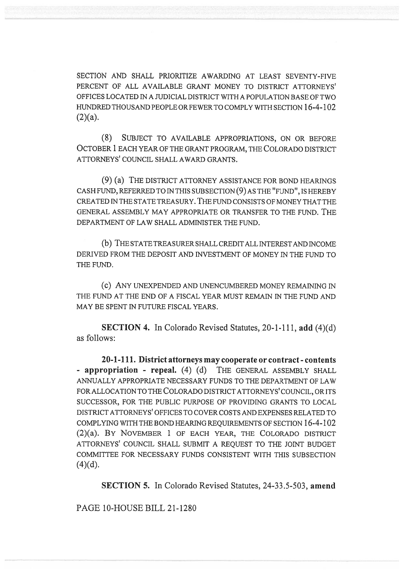SECTION AND SHALL PRIORITIZE AWARDING AT LEAST SEVENTY-FIVE PERCENT OF ALL AVAILABLE GRANT MONEY TO DISTRICT ATTORNEYS' OFFICES LOCATED IN A JUDICIAL DISTRICT WITH A POPULATION BASE OF TWO HUNDRED THOUSAND PEOPLE OR FEWER TO COMPLY WITH SECTION 16-4-102  $(2)(a)$ .

(8) SUBJECT TO AVAILABLE APPROPRIATIONS, ON OR BEFORE OCTOBER 1 EACH YEAR OF THE GRANT PROGRAM, THE COLORADO DISTRICT ATTORNEYS' COUNCIL SHALL AWARD GRANTS.

(9) (a) THE DISTRICT ATTORNEY ASSISTANCE FOR BOND HEARINGS CASH FUND, REFERRED TO IN THIS SUBSECTION (9) AS THE "FUND", IS HEREBY CREATED IN THE STATE TREASURY. THE FUND CONSISTS OF MONEY THAT THE GENERAL ASSEMBLY MAY APPROPRIATE OR TRANSFER TO THE FUND. THE DEPARTMENT OF LAW SHALL ADMINISTER THE FUND.

(b) THE STATE TREASURER SHALL CREDIT ALL INTEREST AND INCOME DERIVED FROM THE DEPOSIT AND INVESTMENT OF MONEY IN THE FUND TO THE FUND.

(C) ANY UNEXPENDED AND UNENCUMBERED MONEY REMAINING IN THE FUND AT THE END OF A FISCAL YEAR MUST REMAIN IN THE FUND AND MAY BE SPENT IN FUTURE FISCAL YEARS.

SECTION 4. In Colorado Revised Statutes, 20-1-111, add (4)(d) as follows:

20-1-111. District attorneys may cooperate or contract - contents - appropriation - repeal. (4) (d) THE GENERAL ASSEMBLY SHALL ANNUALLY APPROPRIATE NECESSARY FUNDS TO THE DEPARTMENT OF LAW FOR ALLOCATION TO THE COLORADO DISTRICT ATTORNEYS' COUNCIL, OR ITS SUCCESSOR, FOR THE PUBLIC PURPOSE OF PROVIDING GRANTS TO LOCAL DISTRICT ATTORNEYS' OFFICES TO COVER COSTS AND EXPENSES RELATED TO COMPLYING WITH THE BOND HEARING REQUIREMENTS OF SECTION 16-4-102 (2)(a). BY NOVEMBER 1 OF EACH YEAR, THE COLORADO DISTRICT ATTORNEYS' COUNCIL SHALL SUBMIT A REQUEST TO THE JOINT BUDGET COMMITTEE FOR NECESSARY FUNDS CONSISTENT WITH THIS SUBSECTION  $(4)(d)$ .

SECTION 5. In Colorado Revised Statutes, 24-33.5-503, amend

PAGE 10-HOUSE BILL 21-1280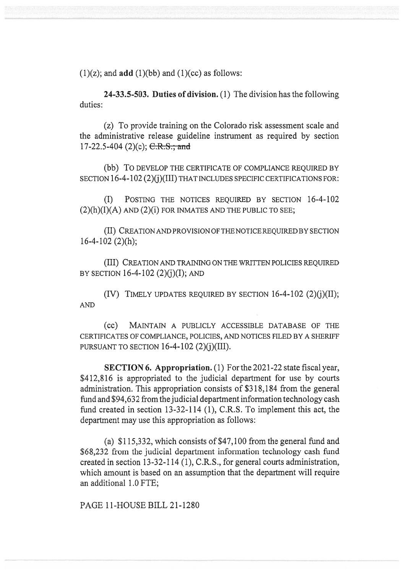$(1)(z)$ ; and **add**  $(1)(bb)$  and  $(1)(cc)$  as follows:

24-33.5-503. Duties of division. (1) The division has the following duties:

(z) To provide training on the Colorado risk assessment scale and the administrative release guideline instrument as required by section 17-22.5-404 (2)(c);  $C.R.S.,$  and

(bb) To DEVELOP THE CERTIFICATE OF COMPLIANCE REQUIRED BY SECTION 16-4-102 (2)(j)(III) THAT INCLUDES SPECIFIC CERTIFICATIONS FOR:

(I) POSTING THE NOTICES REQUIRED BY SECTION 16-4-102  $(2)(h)(I)(A)$  AND  $(2)(i)$  FOR INMATES AND THE PUBLIC TO SEE;

(II) CREATION AND PROVISION OF THE NOTICE REQUIRED BY SECTION 16-4-102 (2)(h);

(III) CREATION AND TRAINING ON THE WRITTEN POLICIES REQUIRED BY SECTION 16-4-102  $(2)(i)(I)$ ; AND

(IV) TIMELY UPDATES REQUIRED BY SECTION  $16-4-102$  (2)(j)(II); AND

(CC) MAINTAIN A PUBLICLY ACCESSIBLE DATABASE OF THE CERTIFICATES OF COMPLIANCE, POLICIES, AND NOTICES FILED BY A SHERIFF PURSUANT TO SECTION  $16-4-102$  (2)(j)(III).

SECTION 6. Appropriation. (1) For the 2021-22 state fiscal year, \$412,816 is appropriated to the judicial department for use by courts administration. This appropriation consists of \$318,184 from the general fund and \$94,632 from the judicial department information technology cash fund created in section 13-32-114 (1), C.R.S. To implement this act, the department may use this appropriation as follows:

(a) \$115,332, which consists of \$47,100 from the general fund and \$68,232 from the judicial department information technology cash fund created in section 13-32-114 (1), C.R.S., for general courts administration, which amount is based on an assumption that the department will require an additional 1.0 FTE;

PAGE 11-HOUSE BILL 21-1280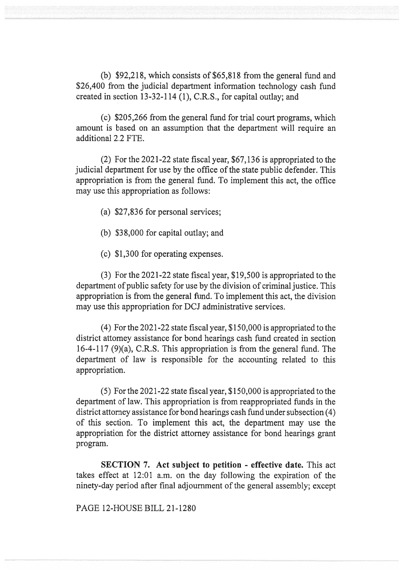(b) \$92,218, which consists of \$65,818 from the general fund and \$26,400 from the judicial department information technology cash fund created in section 13-32-114 (1), C.R.S., for capital outlay; and

(c) \$205,266 from the general fund for trial court programs, which amount is based on an assumption that the department will require an additional 2.2 FTE.

(2) For the 2021-22 state fiscal year, \$67,136 is appropriated to the judicial department for use by the office of the state public defender. This appropriation is from the general fund. To implement this act, the office may use this appropriation as follows:

- (a) \$27,836 for personal services;
- (b) \$38,000 for capital outlay; and
- (c) \$1,300 for operating expenses.

(3) For the 2021-22 state fiscal year, \$19,500 is appropriated to the department of public safety for use by the division of criminal justice. This appropriation is from the general fund. To implement this act, the division may use this appropriation for DCJ administrative services.

(4) For the 2021-22 state fiscal year, \$150,000 is appropriated to the district attorney assistance for bond hearings cash fund created in section 16-4-117 (9)(a), C.R.S. This appropriation is from the general fund. The department of law is responsible for the accounting related to this appropriation.

(5) For the 2021-22 state fiscal year, \$150,000 is appropriated to the department of law. This appropriation is from reappropriated funds in the district attorney assistance for bond hearings cash fund under subsection (4) of this section. To implement this act, the department may use the appropriation for the district attorney assistance for bond hearings grant program.

SECTION 7. Act subject to petition - effective date. This act takes effect at 12:01 a.m. on the day following the expiration of the ninety-day period after final adjournment of the general assembly; except

PAGE 12-HOUSE BILL 21-1280